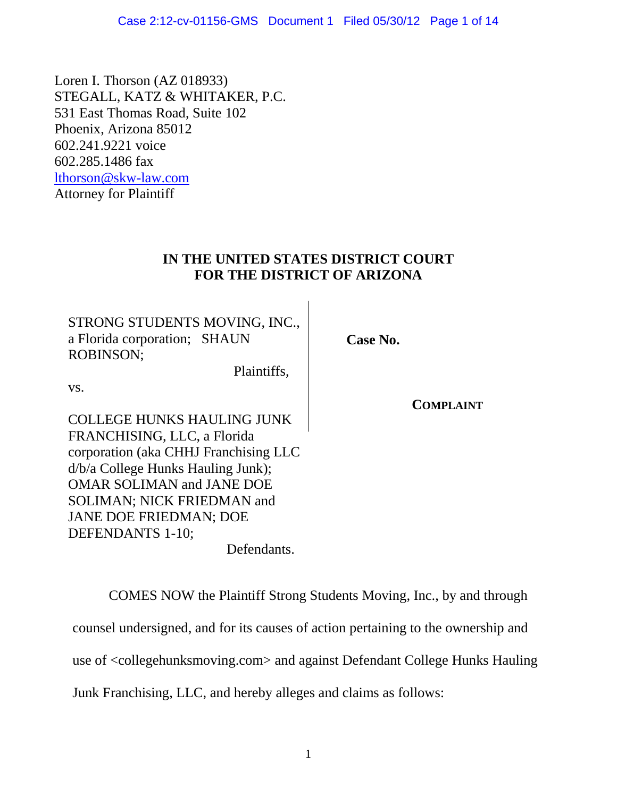Loren I. Thorson (AZ 018933) STEGALL, KATZ & WHITAKER, P.C. 531 East Thomas Road, Suite 102 Phoenix, Arizona 85012 602.241.9221 voice 602.285.1486 fax [lthorson@skw-law.com](mailto:lthorson@skw-law.com) Attorney for Plaintiff

## **IN THE UNITED STATES DISTRICT COURT FOR THE DISTRICT OF ARIZONA**

STRONG STUDENTS MOVING, INC., a Florida corporation; SHAUN ROBINSON;

Plaintiffs,

vs.

COLLEGE HUNKS HAULING JUNK FRANCHISING, LLC, a Florida corporation (aka CHHJ Franchising LLC d/b/a College Hunks Hauling Junk); OMAR SOLIMAN and JANE DOE SOLIMAN; NICK FRIEDMAN and JANE DOE FRIEDMAN; DOE DEFENDANTS 1-10;

Defendants.

COMES NOW the Plaintiff Strong Students Moving, Inc., by and through counsel undersigned, and for its causes of action pertaining to the ownership and use of <collegehunksmoving.com> and against Defendant College Hunks Hauling Junk Franchising, LLC, and hereby alleges and claims as follows:

**COMPLAINT**

**Case No.**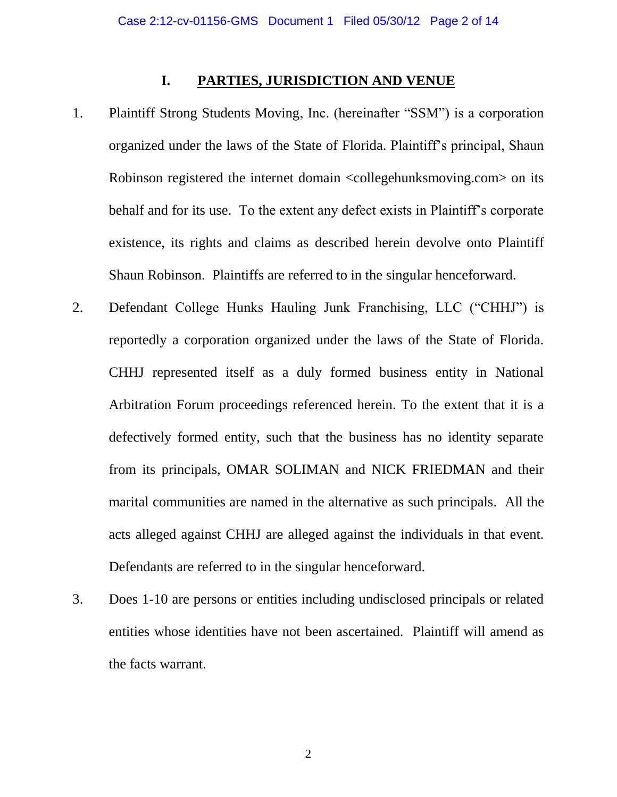#### **I. PARTIES, JURISDICTION AND VENUE**

- 1. Plaintiff Strong Students Moving, Inc. (hereinafter "SSM") is a corporation organized under the laws of the State of Florida. Plaintiff's principal, Shaun Robinson registered the internet domain <collegehunksmoving.com> on its behalf and for its use. To the extent any defect exists in Plaintiff's corporate existence, its rights and claims as described herein devolve onto Plaintiff Shaun Robinson. Plaintiffs are referred to in the singular henceforward.
- 2. Defendant College Hunks Hauling Junk Franchising, LLC ("CHHJ") is reportedly a corporation organized under the laws of the State of Florida. CHHJ represented itself as a duly formed business entity in National Arbitration Forum proceedings referenced herein. To the extent that it is a defectively formed entity, such that the business has no identity separate from its principals, OMAR SOLIMAN and NICK FRIEDMAN and their marital communities are named in the alternative as such principals. All the acts alleged against CHHJ are alleged against the individuals in that event. Defendants are referred to in the singular henceforward.
- 3. Does 1-10 are persons or entities including undisclosed principals or related entities whose identities have not been ascertained. Plaintiff will amend as the facts warrant.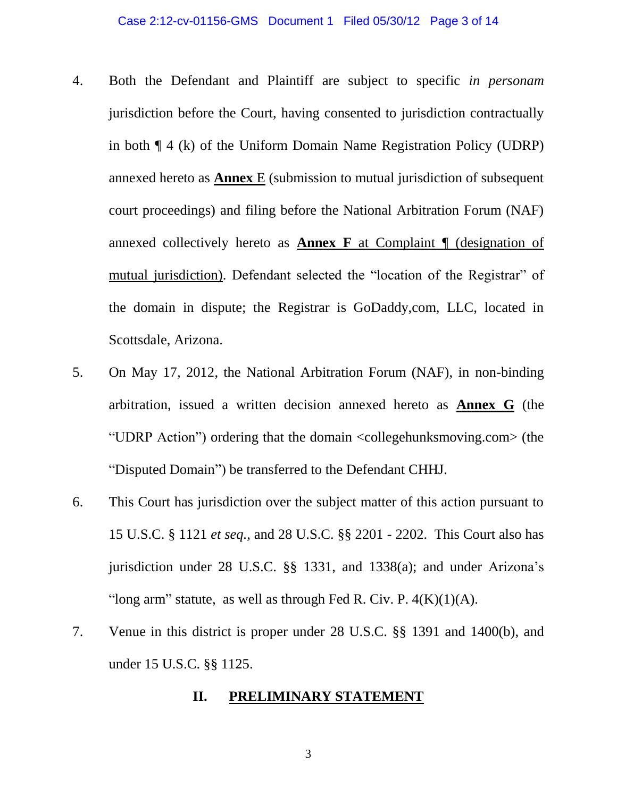- 4. Both the Defendant and Plaintiff are subject to specific *in personam* jurisdiction before the Court, having consented to jurisdiction contractually in both ¶ 4 (k) of the Uniform Domain Name Registration Policy (UDRP) annexed hereto as **Annex** E (submission to mutual jurisdiction of subsequent court proceedings) and filing before the National Arbitration Forum (NAF) annexed collectively hereto as **Annex F** at Complaint ¶ (designation of mutual jurisdiction). Defendant selected the "location of the Registrar" of the domain in dispute; the Registrar is GoDaddy,com, LLC, located in Scottsdale, Arizona.
- 5. On May 17, 2012, the National Arbitration Forum (NAF), in non-binding arbitration, issued a written decision annexed hereto as **Annex G** (the "UDRP Action") ordering that the domain <collegehunksmoving.com> (the "Disputed Domain") be transferred to the Defendant CHHJ.
- 6. This Court has jurisdiction over the subject matter of this action pursuant to 15 U.S.C. § 1121 *et seq.*, and [28 U.S.C. §§ 2201](http://web2.westlaw.com/find/default.wl?tf=-1&rs=WLW7.10&fn=_top&sv=Split&tc=-1&findtype=L&docname=28USCAS2201&db=1000546&vr=2.0&rp=%2ffind%2fdefault.wl&mt=Litigation) - [2202.](http://web2.westlaw.com/find/default.wl?tf=-1&rs=WLW7.10&fn=_top&sv=Split&tc=-1&findtype=L&docname=28USCAS2202&db=1000546&vr=2.0&rp=%2ffind%2fdefault.wl&mt=Litigation) This Court also has jurisdiction under [28 U.S.C. §§ 1331,](http://web2.westlaw.com/find/default.wl?tf=-1&rs=WLW7.10&fn=_top&sv=Split&tc=-1&findtype=L&docname=28USCAS1331&db=1000546&vr=2.0&rp=%2ffind%2fdefault.wl&mt=Litigation) and [1338\(a\);](http://web2.westlaw.com/find/default.wl?tf=-1&rs=WLW7.10&fn=_top&sv=Split&tc=-1&findtype=L&docname=28USCAS1338&db=1000546&vr=2.0&rp=%2ffind%2fdefault.wl&mt=Litigation) and under Arizona's "long arm" statute, as well as through Fed R. Civ. P.  $4(K)(1)(A)$ .
- 7. Venue in this district is proper under [28 U.S.C. §§ 1391](http://web2.westlaw.com/find/default.wl?tf=-1&rs=WLW7.10&fn=_top&sv=Split&tc=-1&findtype=L&docname=28USCAS1391&db=1000546&vr=2.0&rp=%2ffind%2fdefault.wl&mt=Litigation) and [1400\(b\),](http://web2.westlaw.com/find/default.wl?tf=-1&rs=WLW7.10&fn=_top&sv=Split&tc=-1&findtype=L&docname=28USCAS1400&db=1000546&vr=2.0&rp=%2ffind%2fdefault.wl&mt=Litigation) and under 15 U.S.C. §§ 1125.

#### **II. PRELIMINARY STATEMENT**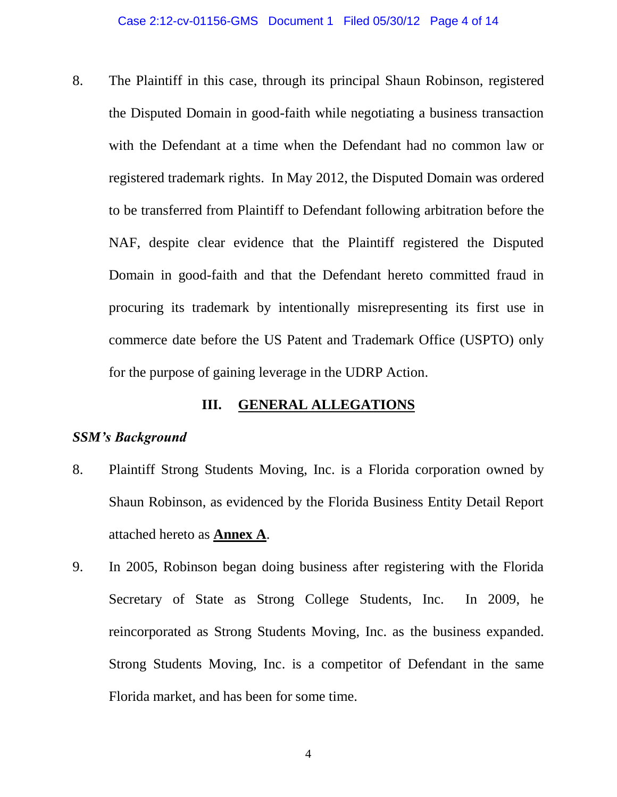8. The Plaintiff in this case, through its principal Shaun Robinson, registered the Disputed Domain in good-faith while negotiating a business transaction with the Defendant at a time when the Defendant had no common law or registered trademark rights. In May 2012, the Disputed Domain was ordered to be transferred from Plaintiff to Defendant following arbitration before the NAF, despite clear evidence that the Plaintiff registered the Disputed Domain in good-faith and that the Defendant hereto committed fraud in procuring its trademark by intentionally misrepresenting its first use in commerce date before the US Patent and Trademark Office (USPTO) only for the purpose of gaining leverage in the UDRP Action.

### **III. GENERAL ALLEGATIONS**

#### *SSM's Background*

- 8. Plaintiff Strong Students Moving, Inc. is a Florida corporation owned by Shaun Robinson, as evidenced by the Florida Business Entity Detail Report attached hereto as **Annex A**.
- 9. In 2005, Robinson began doing business after registering with the Florida Secretary of State as Strong College Students, Inc. In 2009, he reincorporated as Strong Students Moving, Inc. as the business expanded. Strong Students Moving, Inc. is a competitor of Defendant in the same Florida market, and has been for some time.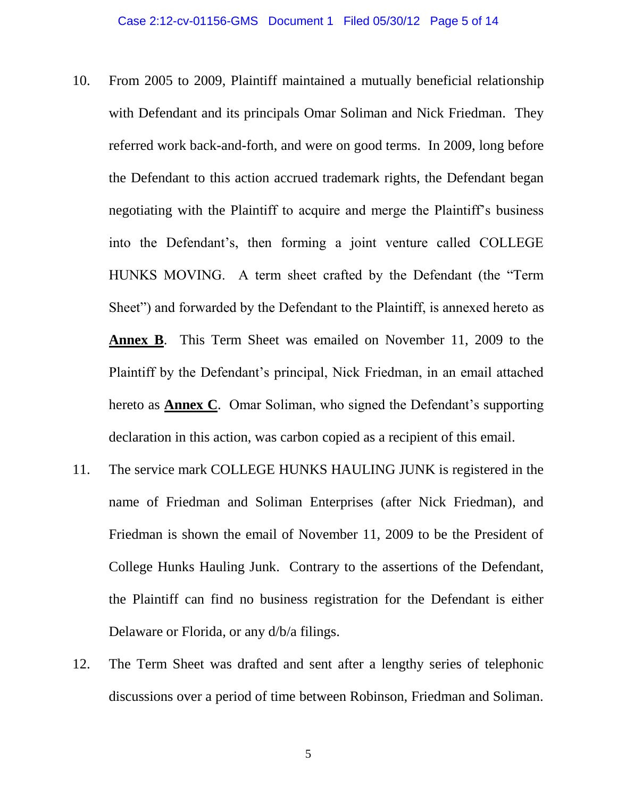- 10. From 2005 to 2009, Plaintiff maintained a mutually beneficial relationship with Defendant and its principals Omar Soliman and Nick Friedman. They referred work back-and-forth, and were on good terms. In 2009, long before the Defendant to this action accrued trademark rights, the Defendant began negotiating with the Plaintiff to acquire and merge the Plaintiff's business into the Defendant's, then forming a joint venture called COLLEGE HUNKS MOVING. A term sheet crafted by the Defendant (the "Term Sheet") and forwarded by the Defendant to the Plaintiff, is annexed hereto as **Annex B**. This Term Sheet was emailed on November 11, 2009 to the Plaintiff by the Defendant's principal, Nick Friedman, in an email attached hereto as **Annex C**. Omar Soliman, who signed the Defendant's supporting declaration in this action, was carbon copied as a recipient of this email.
- 11. The service mark COLLEGE HUNKS HAULING JUNK is registered in the name of Friedman and Soliman Enterprises (after Nick Friedman), and Friedman is shown the email of November 11, 2009 to be the President of College Hunks Hauling Junk. Contrary to the assertions of the Defendant, the Plaintiff can find no business registration for the Defendant is either Delaware or Florida, or any d/b/a filings.
- 12. The Term Sheet was drafted and sent after a lengthy series of telephonic discussions over a period of time between Robinson, Friedman and Soliman.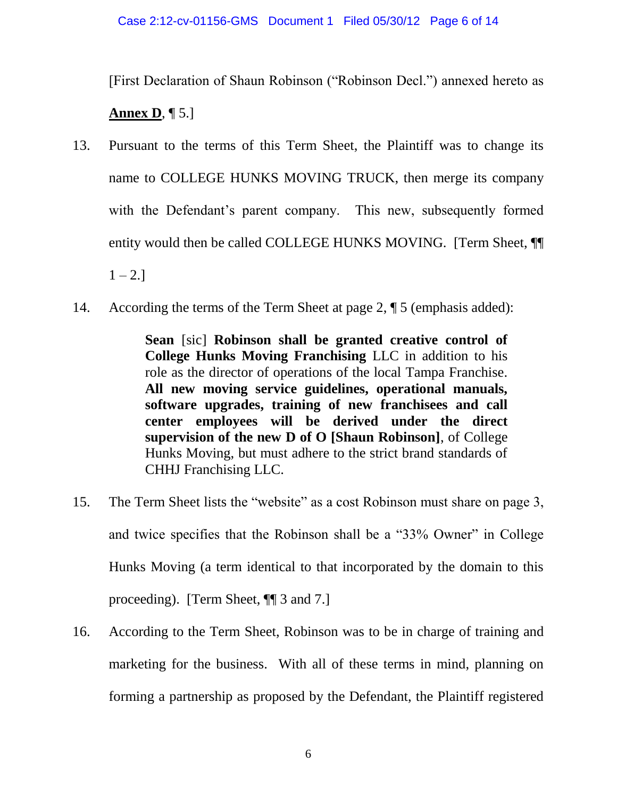[First Declaration of Shaun Robinson ("Robinson Decl.") annexed hereto as

# **Annex D**, ¶ 5.]

- 13. Pursuant to the terms of this Term Sheet, the Plaintiff was to change its name to COLLEGE HUNKS MOVING TRUCK, then merge its company with the Defendant's parent company. This new, subsequently formed entity would then be called COLLEGE HUNKS MOVING. [Term Sheet, ¶¶  $1 - 2.$ ]
- 14. According the terms of the Term Sheet at page 2,  $\P$  5 (emphasis added):

**Sean** [sic] **Robinson shall be granted creative control of College Hunks Moving Franchising** LLC in addition to his role as the director of operations of the local Tampa Franchise. **All new moving service guidelines, operational manuals, software upgrades, training of new franchisees and call center employees will be derived under the direct supervision of the new D of O [Shaun Robinson]**, of College Hunks Moving, but must adhere to the strict brand standards of CHHJ Franchising LLC.

- 15. The Term Sheet lists the "website" as a cost Robinson must share on page 3, and twice specifies that the Robinson shall be a "33% Owner" in College Hunks Moving (a term identical to that incorporated by the domain to this proceeding). [Term Sheet, ¶¶ 3 and 7.]
- 16. According to the Term Sheet, Robinson was to be in charge of training and marketing for the business. With all of these terms in mind, planning on forming a partnership as proposed by the Defendant, the Plaintiff registered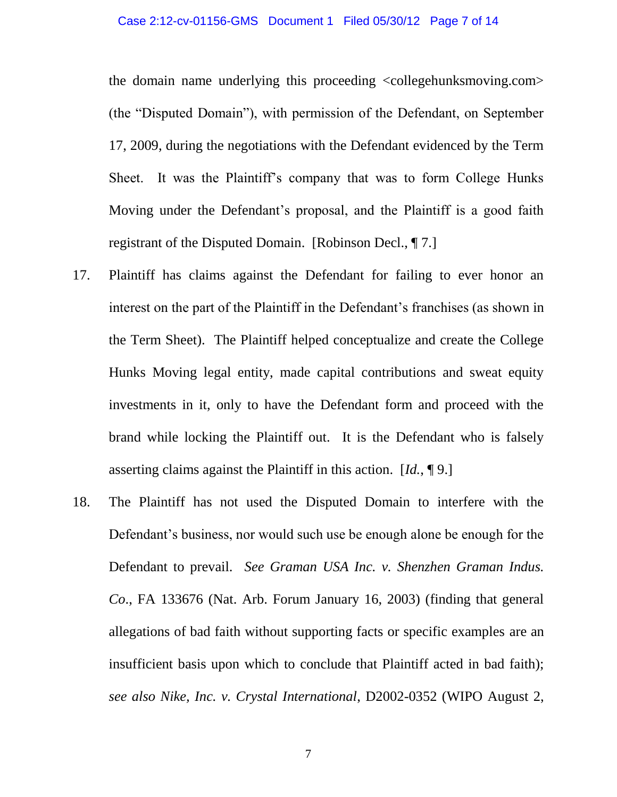the domain name underlying this proceeding <collegehunksmoving.com> (the "Disputed Domain"), with permission of the Defendant, on September 17, 2009, during the negotiations with the Defendant evidenced by the Term Sheet. It was the Plaintiff's company that was to form College Hunks Moving under the Defendant's proposal, and the Plaintiff is a good faith registrant of the Disputed Domain. [Robinson Decl., ¶ 7.]

- 17. Plaintiff has claims against the Defendant for failing to ever honor an interest on the part of the Plaintiff in the Defendant's franchises (as shown in the Term Sheet). The Plaintiff helped conceptualize and create the College Hunks Moving legal entity, made capital contributions and sweat equity investments in it, only to have the Defendant form and proceed with the brand while locking the Plaintiff out. It is the Defendant who is falsely asserting claims against the Plaintiff in this action. [*Id.*, ¶ 9.]
- 18. The Plaintiff has not used the Disputed Domain to interfere with the Defendant's business, nor would such use be enough alone be enough for the Defendant to prevail. *See Graman USA Inc. v. Shenzhen Graman Indus. Co*., FA 133676 (Nat. Arb. Forum January 16, 2003) (finding that general allegations of bad faith without supporting facts or specific examples are an insufficient basis upon which to conclude that Plaintiff acted in bad faith); *see also Nike, Inc. v. Crystal International*, D2002-0352 (WIPO August 2,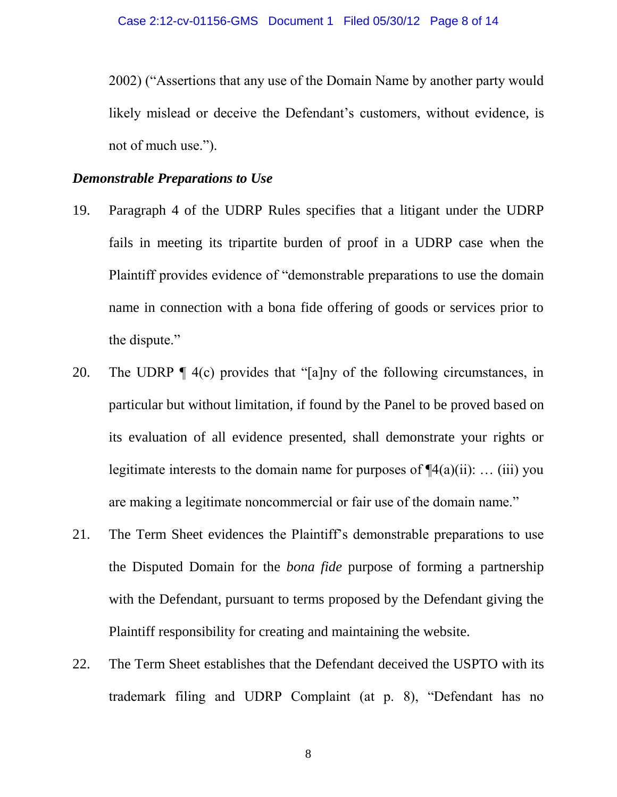2002) ("Assertions that any use of the Domain Name by another party would likely mislead or deceive the Defendant's customers, without evidence, is not of much use.").

#### *Demonstrable Preparations to Use*

- 19. Paragraph 4 of the UDRP Rules specifies that a litigant under the UDRP fails in meeting its tripartite burden of proof in a UDRP case when the Plaintiff provides evidence of "demonstrable preparations to use the domain name in connection with a bona fide offering of goods or services prior to the dispute."
- 20. The UDRP ¶ 4(c) provides that "[a]ny of the following circumstances, in particular but without limitation, if found by the Panel to be proved based on its evaluation of all evidence presented, shall demonstrate your rights or legitimate interests to the domain name for purposes of  $\P(4(a)(ii))$ : ... (iii) you are making a legitimate noncommercial or fair use of the domain name."
- 21. The Term Sheet evidences the Plaintiff's demonstrable preparations to use the Disputed Domain for the *bona fide* purpose of forming a partnership with the Defendant, pursuant to terms proposed by the Defendant giving the Plaintiff responsibility for creating and maintaining the website.
- 22. The Term Sheet establishes that the Defendant deceived the USPTO with its trademark filing and UDRP Complaint (at p. 8), "Defendant has no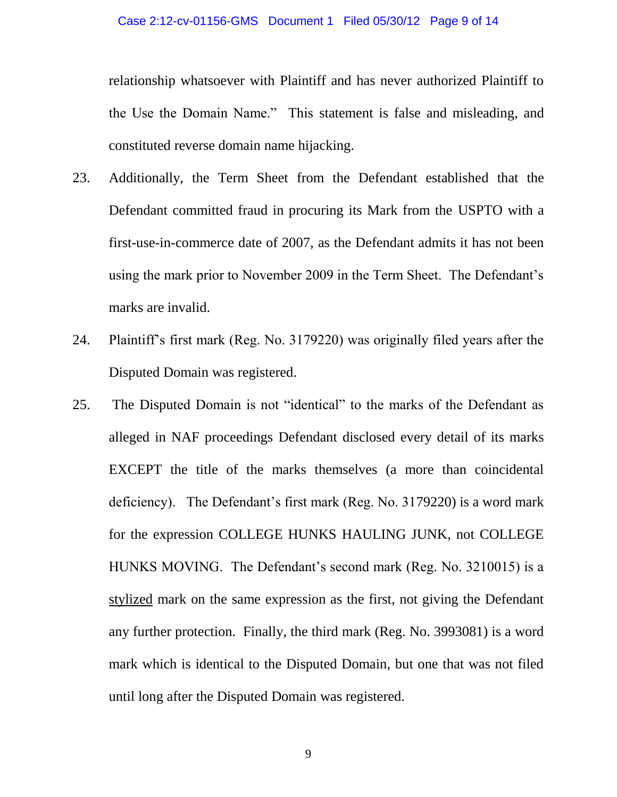relationship whatsoever with Plaintiff and has never authorized Plaintiff to the Use the Domain Name." This statement is false and misleading, and constituted reverse domain name hijacking.

- 23. Additionally, the Term Sheet from the Defendant established that the Defendant committed fraud in procuring its Mark from the USPTO with a first-use-in-commerce date of 2007, as the Defendant admits it has not been using the mark prior to November 2009 in the Term Sheet. The Defendant's marks are invalid.
- 24. Plaintiff's first mark (Reg. No. 3179220) was originally filed years after the Disputed Domain was registered.
- 25. The Disputed Domain is not "identical" to the marks of the Defendant as alleged in NAF proceedings Defendant disclosed every detail of its marks EXCEPT the title of the marks themselves (a more than coincidental deficiency). The Defendant's first mark (Reg. No. 3179220) is a word mark for the expression COLLEGE HUNKS HAULING JUNK, not COLLEGE HUNKS MOVING. The Defendant's second mark (Reg. No. 3210015) is a stylized mark on the same expression as the first, not giving the Defendant any further protection. Finally, the third mark (Reg. No. 3993081) is a word mark which is identical to the Disputed Domain, but one that was not filed until long after the Disputed Domain was registered.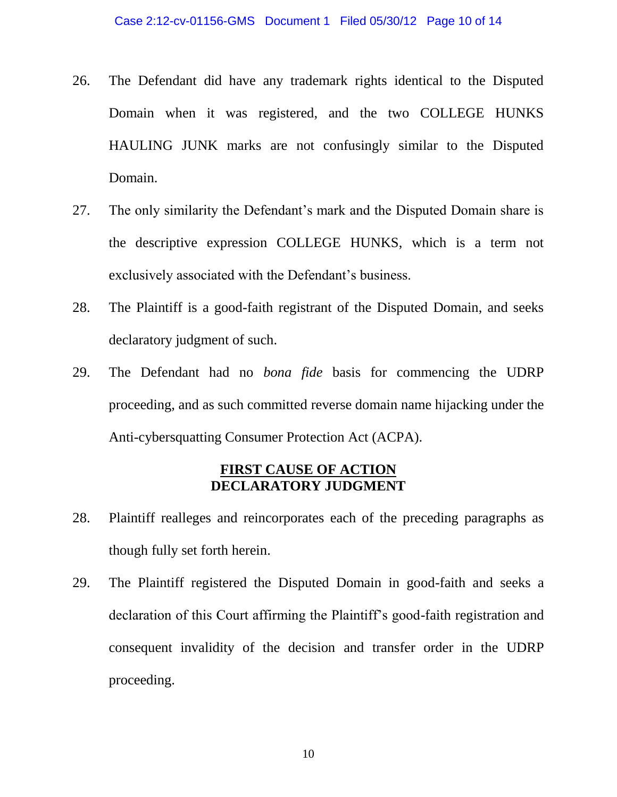- 26. The Defendant did have any trademark rights identical to the Disputed Domain when it was registered, and the two COLLEGE HUNKS HAULING JUNK marks are not confusingly similar to the Disputed Domain.
- 27. The only similarity the Defendant's mark and the Disputed Domain share is the descriptive expression COLLEGE HUNKS, which is a term not exclusively associated with the Defendant's business.
- 28. The Plaintiff is a good-faith registrant of the Disputed Domain, and seeks declaratory judgment of such.
- 29. The Defendant had no *bona fide* basis for commencing the UDRP proceeding, and as such committed reverse domain name hijacking under the Anti-cybersquatting Consumer Protection Act (ACPA).

### **FIRST CAUSE OF ACTION DECLARATORY JUDGMENT**

- 28. Plaintiff realleges and reincorporates each of the preceding paragraphs as though fully set forth herein.
- 29. The Plaintiff registered the Disputed Domain in good-faith and seeks a declaration of this Court affirming the Plaintiff's good-faith registration and consequent invalidity of the decision and transfer order in the UDRP proceeding.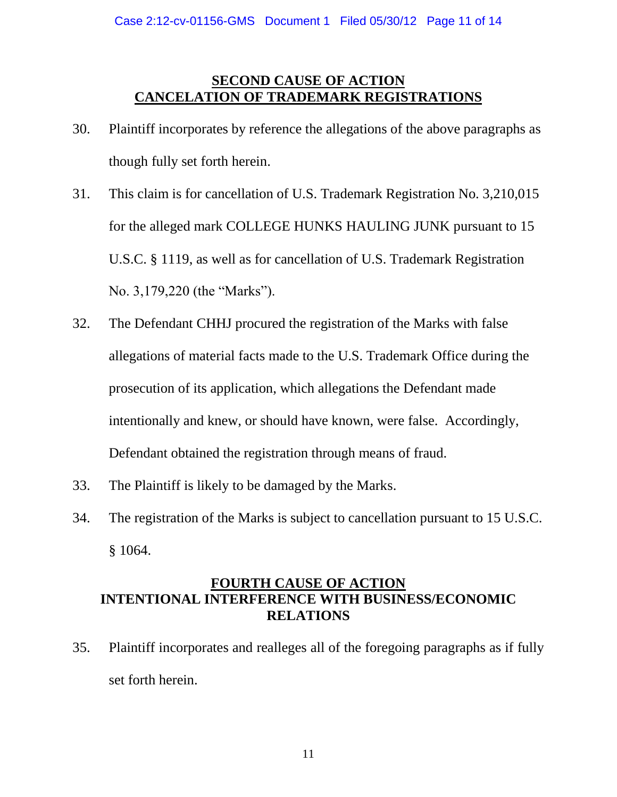## **SECOND CAUSE OF ACTION CANCELATION OF TRADEMARK REGISTRATIONS**

- 30. Plaintiff incorporates by reference the allegations of the above paragraphs as though fully set forth herein.
- 31. This claim is for cancellation of U.S. Trademark Registration No. 3,210,015 for the alleged mark COLLEGE HUNKS HAULING JUNK pursuant to 15 U.S.C. § 1119, as well as for cancellation of U.S. Trademark Registration No. 3,179,220 (the "Marks").
- 32. The Defendant CHHJ procured the registration of the Marks with false allegations of material facts made to the U.S. Trademark Office during the prosecution of its application, which allegations the Defendant made intentionally and knew, or should have known, were false. Accordingly, Defendant obtained the registration through means of fraud.
- 33. The Plaintiff is likely to be damaged by the Marks.
- 34. The registration of the Marks is subject to cancellation pursuant to 15 U.S.C. § 1064.

## **FOURTH CAUSE OF ACTION INTENTIONAL INTERFERENCE WITH BUSINESS/ECONOMIC RELATIONS**

35. Plaintiff incorporates and realleges all of the foregoing paragraphs as if fully set forth herein.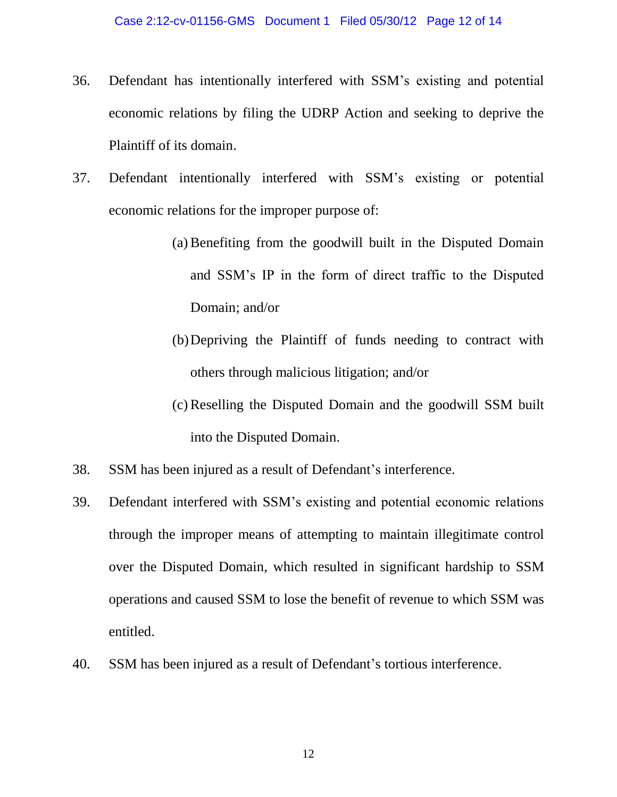- 36. Defendant has intentionally interfered with SSM's existing and potential economic relations by filing the UDRP Action and seeking to deprive the Plaintiff of its domain.
- 37. Defendant intentionally interfered with SSM's existing or potential economic relations for the improper purpose of:
	- (a) Benefiting from the goodwill built in the Disputed Domain and SSM's IP in the form of direct traffic to the Disputed Domain; and/or
	- (b)Depriving the Plaintiff of funds needing to contract with others through malicious litigation; and/or
	- (c) Reselling the Disputed Domain and the goodwill SSM built into the Disputed Domain.
- 38. SSM has been injured as a result of Defendant's interference.
- 39. Defendant interfered with SSM's existing and potential economic relations through the improper means of attempting to maintain illegitimate control over the Disputed Domain, which resulted in significant hardship to SSM operations and caused SSM to lose the benefit of revenue to which SSM was entitled.
- 40. SSM has been injured as a result of Defendant's tortious interference.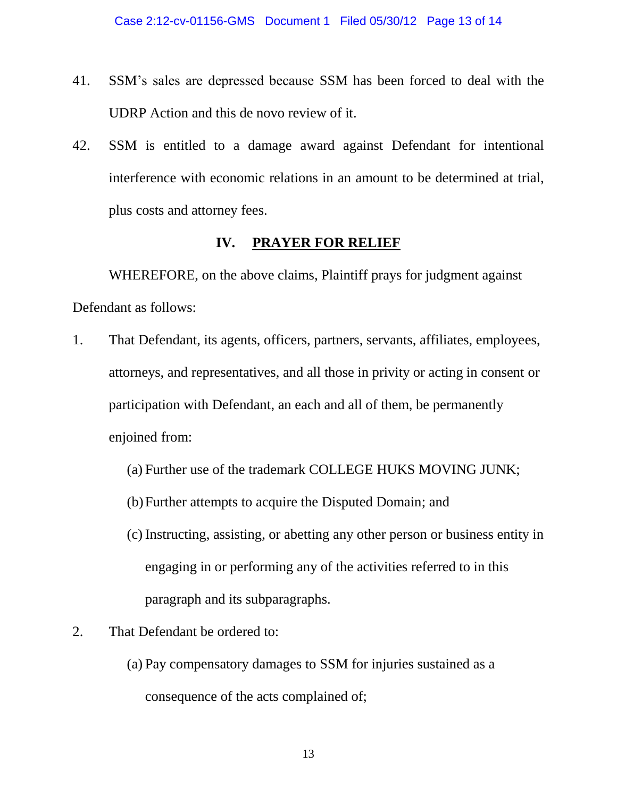- 41. SSM's sales are depressed because SSM has been forced to deal with the UDRP Action and this de novo review of it.
- 42. SSM is entitled to a damage award against Defendant for intentional interference with economic relations in an amount to be determined at trial, plus costs and attorney fees.

## **IV. PRAYER FOR RELIEF**

WHEREFORE, on the above claims, Plaintiff prays for judgment against Defendant as follows:

- 1. That Defendant, its agents, officers, partners, servants, affiliates, employees, attorneys, and representatives, and all those in privity or acting in consent or participation with Defendant, an each and all of them, be permanently enjoined from:
	- (a) Further use of the trademark COLLEGE HUKS MOVING JUNK;
	- (b)Further attempts to acquire the Disputed Domain; and
	- (c) Instructing, assisting, or abetting any other person or business entity in engaging in or performing any of the activities referred to in this paragraph and its subparagraphs.
- 2. That Defendant be ordered to:
	- (a) Pay compensatory damages to SSM for injuries sustained as a consequence of the acts complained of;